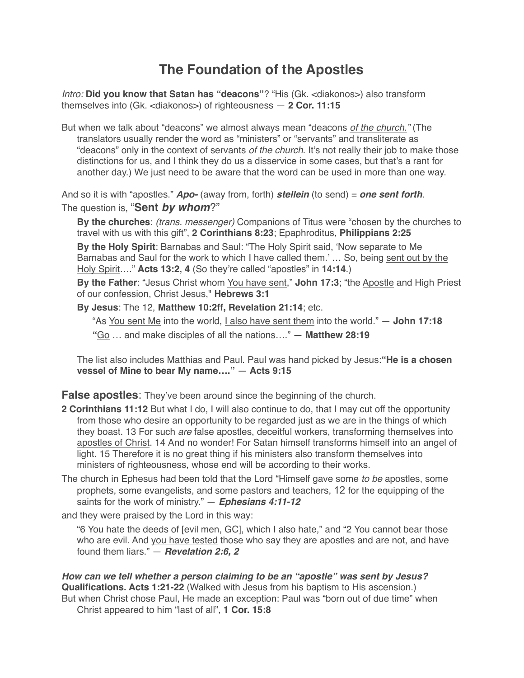# **The Foundation of the Apostles**

*Intro:* **Did you know that Satan has "deacons"**? "His (Gk. <diakonos>) also transform themselves into (Gk. <diakonos>) of righteousness — **2 Cor. 11:15**

But when we talk about "deacons" we almost always mean "deacons *of the church."* (The translators usually render the word as "ministers" or "servants" and transliterate as "deacons" only in the context of servants *of the church*. It's not really their job to make those distinctions for us, and I think they do us a disservice in some cases, but that's a rant for another day.) We just need to be aware that the word can be used in more than one way.

And so it is with "apostles." *Apo-* (away from, forth) *stellein* (to send) = *one sent forth*. The question is, "**Sent** *by whom*?"

**By the churches**: *(trans. messenger)* Companions of Titus were "chosen by the churches to travel with us with this gift", **2 Corinthians 8:23**; Epaphroditus, **Philippians 2:25**

**By the Holy Spirit**: Barnabas and Saul: "The Holy Spirit said, 'Now separate to Me Barnabas and Saul for the work to which I have called them.' ... So, being sent out by the Holy Spirit…." **Acts 13:2, 4** (So they're called "apostles" in **14:14**.)

**By the Father**: "Jesus Christ whom You have sent," **John 17:3**; "the Apostle and High Priest of our confession, Christ Jesus," **Hebrews 3:1**

**By Jesus**: The 12, **Matthew 10:2ff, Revelation 21:14**; etc.

"As You sent Me into the world, I also have sent them into the world." — **John 17:18**

**"**Go … and make disciples of all the nations…." **— Matthew 28:19**

The list also includes Matthias and Paul. Paul was hand picked by Jesus:**"He is a chosen vessel of Mine to bear My name…."** — **Acts 9:15**

**False apostles**: They've been around since the beginning of the church.

- **2 Corinthians 11:12** But what I do, I will also continue to do, that I may cut off the opportunity from those who desire an opportunity to be regarded just as we are in the things of which they boast. 13 For such *are* false apostles, deceitful workers, transforming themselves into apostles of Christ. 14 And no wonder! For Satan himself transforms himself into an angel of light. 15 Therefore it is no great thing if his ministers also transform themselves into ministers of righteousness, whose end will be according to their works.
- The church in Ephesus had been told that the Lord "Himself gave some *to be* apostles, some prophets, some evangelists, and some pastors and teachers, 12 for the equipping of the saints for the work of ministry." — *Ephesians 4:11-12*

and they were praised by the Lord in this way:

"6 You hate the deeds of [evil men, GC], which I also hate," and "2 You cannot bear those who are evil. And you have tested those who say they are apostles and are not, and have found them liars." — *Revelation 2:6, 2*

*How can we tell whether a person claiming to be an "apostle" was sent by Jesus?* **Qualifications. Acts 1:21-22** (Walked with Jesus from his baptism to His ascension.) But when Christ chose Paul, He made an exception: Paul was "born out of due time" when Christ appeared to him "last of all", **1 Cor. 15:8**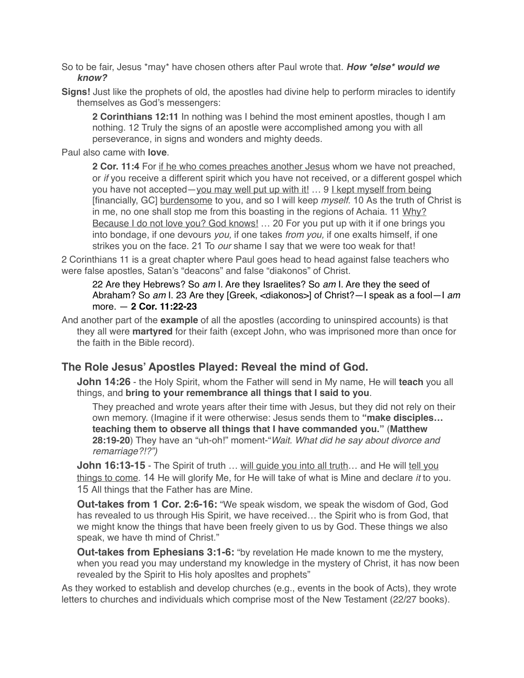- So to be fair, Jesus \*may\* have chosen others after Paul wrote that. *How \*else\* would we know?*
- **Signs!** Just like the prophets of old, the apostles had divine help to perform miracles to identify themselves as God's messengers:

**2 Corinthians 12:11** In nothing was I behind the most eminent apostles, though I am nothing. 12 Truly the signs of an apostle were accomplished among you with all perseverance, in signs and wonders and mighty deeds.

Paul also came with **love**.

**2 Cor. 11:4** For if he who comes preaches another Jesus whom we have not preached, or *if* you receive a different spirit which you have not received, or a different gospel which you have not accepted—you may well put up with it! … 9 I kept myself from being [financially, GC] burdensome to you, and so I will keep *myself*. 10 As the truth of Christ is in me, no one shall stop me from this boasting in the regions of Achaia. 11 Why? Because I do not love you? God knows! ... 20 For you put up with it if one brings you into bondage, if one devours *you,* if one takes *from you,* if one exalts himself, if one strikes you on the face. 21 To *our* shame I say that we were too weak for that!

2 Corinthians 11 is a great chapter where Paul goes head to head against false teachers who were false apostles, Satan's "deacons" and false "diakonos" of Christ.

22 Are they Hebrews? So *am* I. Are they Israelites? So *am* I. Are they the seed of Abraham? So *am* I. 23 Are they [Greek, <diakonos>] of Christ?—I speak as a fool—I *am* more. — **2 Cor. 11:22-23**

And another part of the **example** of all the apostles (according to uninspired accounts) is that they all were **martyred** for their faith (except John, who was imprisoned more than once for the faith in the Bible record).

# **The Role Jesus' Apostles Played: Reveal the mind of God.**

**John 14:26** - the Holy Spirit, whom the Father will send in My name, He will **teach** you all things, and **bring to your remembrance all things that I said to you**.

They preached and wrote years after their time with Jesus, but they did not rely on their own memory. (Imagine if it were otherwise: Jesus sends them to **"make disciples… teaching them to observe all things that I have commanded you."** (**Matthew 28:19-20**) They have an "uh-oh!" moment-"*Wait. What did he say about divorce and remarriage?!?")*

**John 16:13-15** - The Spirit of truth ... will guide you into all truth... and He will tell you things to come. 14 He will glorify Me, for He will take of what is Mine and declare *it* to you. 15 All things that the Father has are Mine.

**Out-takes from 1 Cor. 2:6-16:** "We speak wisdom, we speak the wisdom of God, God has revealed to us through His Spirit, we have received… the Spirit who is from God, that we might know the things that have been freely given to us by God. These things we also speak, we have th mind of Christ."

**Out-takes from Ephesians 3:1-6:** "by revelation He made known to me the mystery, when you read you may understand my knowledge in the mystery of Christ, it has now been revealed by the Spirit to His holy aposltes and prophets"

As they worked to establish and develop churches (e.g., events in the book of Acts), they wrote letters to churches and individuals which comprise most of the New Testament (22/27 books).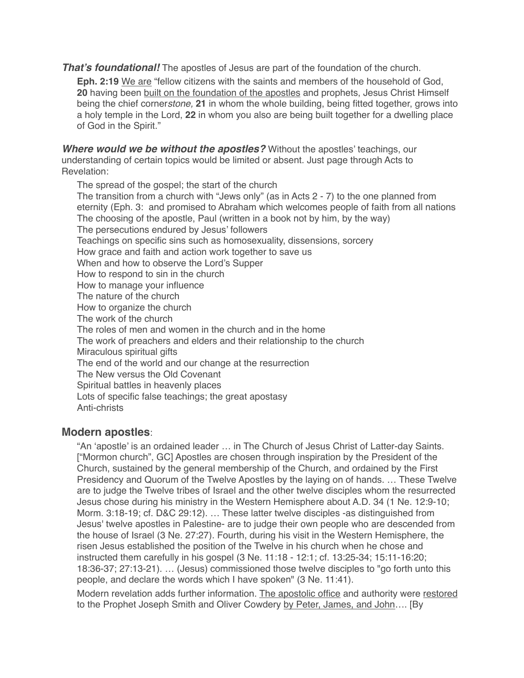*That's foundational!* The apostles of Jesus are part of the foundation of the church.

**Eph. 2:19** We are "fellow citizens with the saints and members of the household of God, 20 having been built on the foundation of the apostles and prophets, Jesus Christ Himself being the chief corner*stone,* **21** in whom the whole building, being fitted together, grows into a holy temple in the Lord, **22** in whom you also are being built together for a dwelling place of God in the Spirit."

*Where would we be without the apostles?* Without the apostles' teachings, our understanding of certain topics would be limited or absent. Just page through Acts to Revelation:

The spread of the gospel; the start of the church The transition from a church with "Jews only" (as in Acts 2 - 7) to the one planned from eternity (Eph. 3: and promised to Abraham which welcomes people of faith from all nations The choosing of the apostle, Paul (written in a book not by him, by the way) The persecutions endured by Jesus' followers Teachings on specific sins such as homosexuality, dissensions, sorcery How grace and faith and action work together to save us When and how to observe the Lord's Supper How to respond to sin in the church How to manage your influence The nature of the church How to organize the church The work of the church The roles of men and women in the church and in the home The work of preachers and elders and their relationship to the church Miraculous spiritual gifts The end of the world and our change at the resurrection The New versus the Old Covenant Spiritual battles in heavenly places Lots of specific false teachings; the great apostasy Anti-christs

#### **Modern apostles**:

"An 'apostle' is an ordained leader … in The Church of Jesus Christ of Latter-day Saints. ["Mormon church", GC] Apostles are chosen through inspiration by the President of the Church, sustained by the general membership of the Church, and ordained by the First Presidency and Quorum of the Twelve Apostles by the laying on of hands. … These Twelve are to judge the Twelve tribes of Israel and the other twelve disciples whom the resurrected Jesus chose during his ministry in the Western Hemisphere about A.D. 34 [\(1 Ne. 12:9-10](http://lds.org/scriptures/bofm/1-ne/12.9-10?lang=eng#8); [Morm. 3:18-19;](http://lds.org/scriptures/bofm/morm/3.18-19?lang=eng#17) cf. [D&C 29:12](http://lds.org/scriptures/dc-testament/dc/29.12?lang=eng#11)). … These latter twelve disciples -as distinguished from Jesus' twelve apostles in Palestine- are to judge their own people who are descended from the house of Israel [\(3 Ne. 27:27](http://lds.org/scriptures/bofm/3-ne/27.27?lang=eng#26)). Fourth, during his visit in the Western Hemisphere, the risen Jesus established the position of the Twelve in his church when he chose and instructed them carefully in his gospel [\(3 Ne. 11:18](http://lds.org/scriptures/bofm/3-ne/11.18-44?lang=eng#17) - [12:1](http://lds.org/scriptures/bofm/3-ne/12.1?lang=eng#); cf. 13:25-34; 15:11-16:20; 18:36-37; 27:13-21). … (Jesus) commissioned those twelve disciples to "go forth unto this people, and declare the words which I have spoken" ([3 Ne. 11:41\)](http://lds.org/scriptures/bofm/3-ne/11.41?lang=eng#40).

Modern revelation adds further information. The apostolic office and authority were restored to the Prophet Joseph Smith and Oliver Cowdery by Peter, James, and John…. [By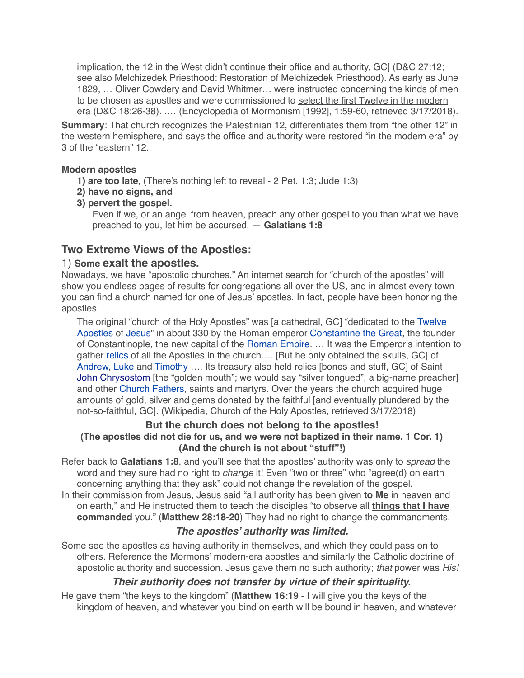implication, the 12 in the West didn't continue their office and authority, GC] ([D&C 27:12](http://lds.org/scriptures/dc-testament/dc/27.12?lang=eng#11); see also [Melchizedek Priesthood: Restoration of Melchizedek Priesthood](http://eom.byu.edu/index.php/Melchizedek_Priesthood#Restoration_of_Melchizedek_Priesthood)). As early as June 1829, … Oliver Cowdery and David Whitmer… were instructed concerning the kinds of men to be chosen as apostles and were commissioned to select the first Twelve in the modern era ([D&C 18:26-38](http://lds.org/scriptures/dc-testament/dc/18.26-38?lang=eng#25)). .… (Encyclopedia of Mormonism [1992], 1:59-60, retrieved 3/17/2018).

**Summary**: That church recognizes the Palestinian 12, differentiates them from "the other 12" in the western hemisphere, and says the office and authority were restored "in the modern era" by 3 of the "eastern" 12.

#### **Modern apostles**

- **1) are too late,** (There's nothing left to reveal 2 Pet. 1:3; Jude 1:3)
- **2) have no signs, and**
- **3) pervert the gospel.**

Even if we, or an angel from heaven, preach any other gospel to you than what we have preached to you, let him be accursed. — **Galatians 1:8**

# **Two Extreme Views of the Apostles:**

## 1) **Some exalt the apostles.**

Nowadays, we have "apostolic churches." An internet search for "church of the apostles" will show you endless pages of results for congregations all over the US, and in almost every town you can find a church named for one of Jesus' apostles. In fact, people have been honoring the apostles

[The original "church of the Holy Apostles" was \[a cathedral, GC\] "dedicated to the Twelve](https://en.wikipedia.org/wiki/Twelve_Apostles)  Apostles of [Jesus](https://en.wikipedia.org/wiki/Jesus)" in about 330 by the Roman emperor [Constantine the Great,](https://en.wikipedia.org/wiki/Constantine_I_(emperor)) the founder of Constantinople, the new capital of the [Roman Empire](https://en.wikipedia.org/wiki/Roman_Empire). … It was the Emperor's intention to gather [relics](https://en.wikipedia.org/wiki/Relic) of all the Apostles in the church…. [But he only obtained the skulls, GC] of Andrew, Luke and Timothy …. Its treasury also held relics [bones and stuff, GC] of Saint [John Chrysostom](https://en.wikipedia.org/wiki/John_Chrysostom) [the "golden mouth"; we would say "silver tongued", a big-name preacher] and other [Church Fathers](https://en.wikipedia.org/wiki/Church_Fathers), saints and martyrs. Over the years the church acquired huge amounts of gold, silver and gems donated by the faithful [and eventually plundered by the not-so-faithful, GC]. (Wikipedia, Church of the Holy Apostles, retrieved 3/17/2018)

#### **But the church does not belong to the apostles! (The apostles did not die for us, and we were not baptized in their name. 1 Cor. 1) (And the church is not about "stuff"!)**

Refer back to **Galatians 1:8**, and you'll see that the apostles' authority was only to *spread* the word and they sure had no right to *change* it! Even "two or three" who "agree(d) on earth concerning anything that they ask" could not change the revelation of the gospel. In their commission from Jesus, Jesus said "all authority has been given **to Me** in heaven and

on earth," and He instructed them to teach the disciples "to observe all **things that I have commanded** you." (**Matthew 28:18-20**) They had no right to change the commandments.

# *The apostles' authority was limited.*

Some see the apostles as having authority in themselves, and which they could pass on to others. Reference the Mormons' modern-era apostles and similarly the Catholic doctrine of apostolic authority and succession. Jesus gave them no such authority; *that* power was *His!*

# *Their authority does not transfer by virtue of their spirituality.*

He gave them "the keys to the kingdom" (**Matthew 16:19** - I will give you the keys of the kingdom of heaven, and whatever you bind on earth will be bound in heaven, and whatever